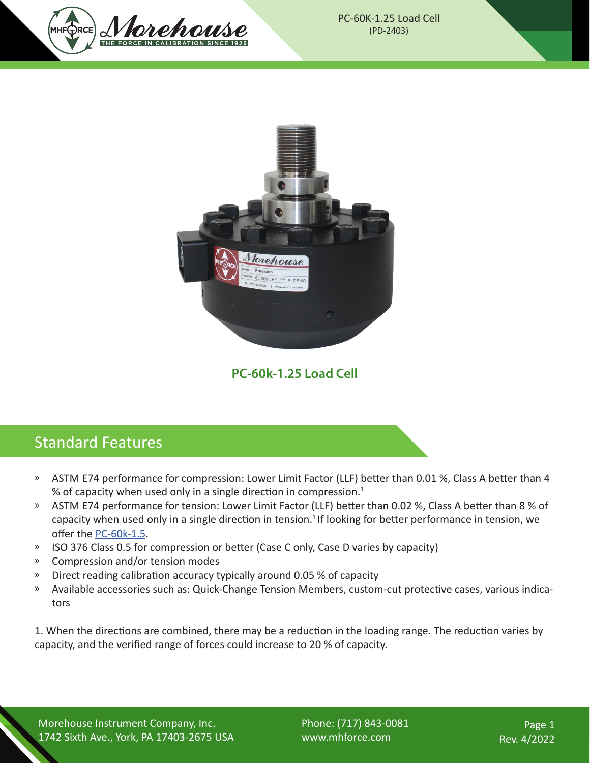



**PC-60k-1.25 Load Cell**

## Standard Features

- » ASTM E74 performance for compression: Lower Limit Factor (LLF) better than 0.01 %, Class A better than 4 % of capacity when used only in a single direction in compression. $1$
- » ASTM E74 performance for tension: Lower Limit Factor (LLF) better than 0.02 %, Class A better than 8 % of capacity when used only in a single direction in tension.<sup>1</sup> If looking for better performance in tension, we offer the [PC-60k-1.5](https://mhforce.com/wp-content/uploads/2021/04/Precision-Shear-Web-Load-Cells-Datasheet-PD-2202.pdf).
- » ISO 376 Class 0.5 for compression or better (Case C only, Case D varies by capacity)
- » Compression and/or tension modes
- » Direct reading calibration accuracy typically around 0.05 % of capacity
- Ů Available accessories such as: Quick-Change Tension Members, custom-cut protective cases, various indicators

1. When the directions are combined, there may be a reduction in the loading range. The reduction varies by capacity, and the verified range of forces could increase to 20 % of capacity.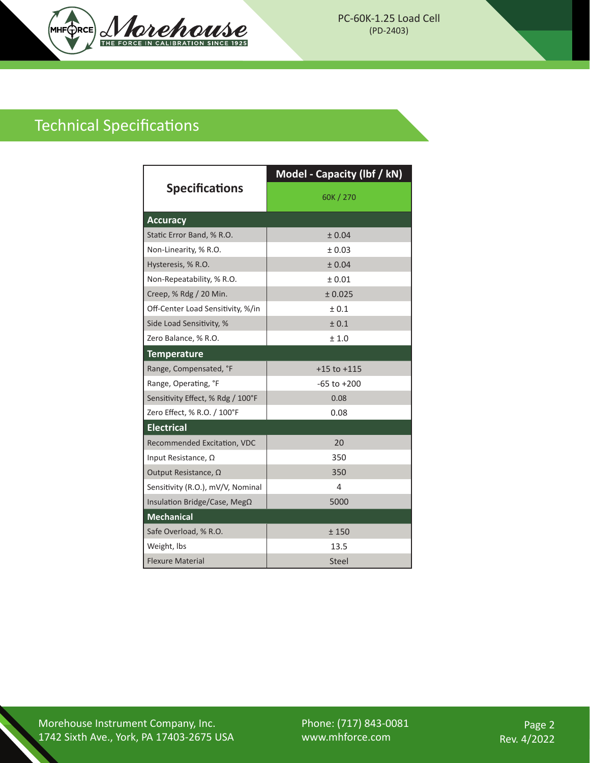

## Technical Specifications

| <b>Specifications</b>             | Model - Capacity (lbf / kN) |  |
|-----------------------------------|-----------------------------|--|
|                                   | 60K / 270                   |  |
| <b>Accuracy</b>                   |                             |  |
| Static Error Band, % R.O.         | ± 0.04                      |  |
| Non-Linearity, % R.O.             | ± 0.03                      |  |
| Hysteresis, % R.O.                | ± 0.04                      |  |
| Non-Repeatability, % R.O.         | ± 0.01                      |  |
| Creep, % Rdg / 20 Min.            | ± 0.025                     |  |
| Off-Center Load Sensitivity, %/in | ± 0.1                       |  |
| Side Load Sensitivity, %          | ± 0.1                       |  |
| Zero Balance, % R.O.              | ±1.0                        |  |
| <b>Temperature</b>                |                             |  |
| Range, Compensated, °F            | $+15$ to $+115$             |  |
| Range, Operating, °F              | $-65$ to $+200$             |  |
| Sensitivity Effect, % Rdg / 100°F | 0.08                        |  |
| Zero Effect, % R.O. / 100°F       | 0.08                        |  |
| <b>Electrical</b>                 |                             |  |
| Recommended Excitation, VDC       | 20                          |  |
| Input Resistance, Ω               | 350                         |  |
| Output Resistance, $\Omega$       | 350                         |  |
| Sensitivity (R.O.), mV/V, Nominal | 4                           |  |
| Insulation Bridge/Case, MegΩ      | 5000                        |  |
| <b>Mechanical</b>                 |                             |  |
| Safe Overload, % R.O.             | ±150                        |  |
| Weight, Ibs                       | 13.5                        |  |
| <b>Flexure Material</b>           | Steel                       |  |

Morehouse Instrument Company, Inc. 1742 Sixth Ave., York, PA 17403-2675 USA Phone: (717) 843-0081 www.mhforce.com

Page 2 Rev. 4/2022